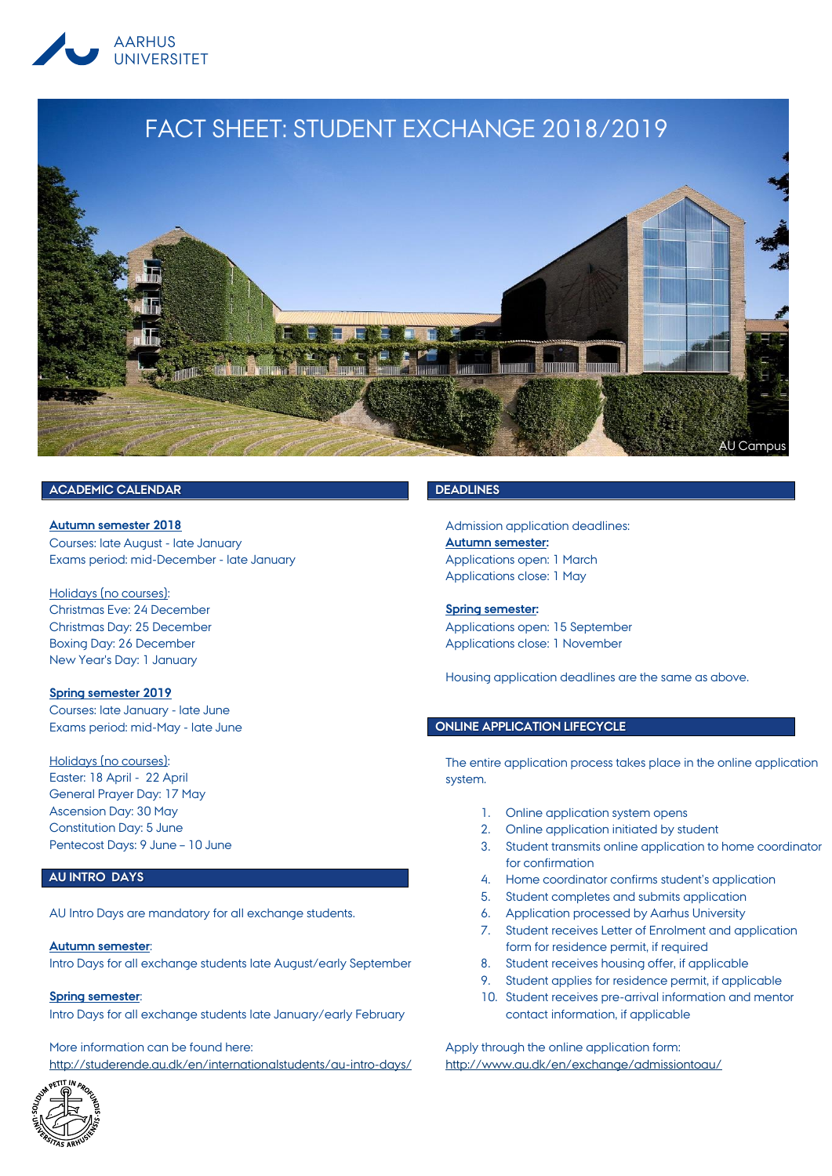

# FACT SHEET: STUDENT EXCHANGE 2018/2019



## **ACADEMIC CALENDAR**

**Autumn semester 2018** Courses: late August - late January Exams period: mid-December - late January

Holidays (no courses): Christmas Eve: 24 December Christmas Day: 25 December Boxing Day: 26 December New Year's Day: 1 January

**Spring semester 2019** Courses: late January - late June Exams period: mid-May - late June

Holidays (no courses): Easter: 18 April - 22 April General Prayer Day: 17 May Ascension Day: 30 May Constitution Day: 5 June Pentecost Days: 9 June – 10 June

## **AU INTRO DAYS**

AU Intro Days are mandatory for all exchange students.

#### **Autumn semester**:

Intro Days for all exchange students late August/early September

**Spring semester**:

Intro Days for all exchange students late January/early February

More information can be found here: <http://studerende.au.dk/en/internationalstudents/au-intro-days/>



## **DEADLINES**

Admission application deadlines: **Autumn semester:** Applications open: 1 March Applications close: 1 May

## **Spring semester:**

Applications open: 15 September Applications close: 1 November

Housing application deadlines are the same as above.

## **ONLINE APPLICATION LIFECYCLE**

The entire application process takes place in the online application system.

- 1. Online application system opens
- 2. Online application initiated by student
- 3. Student transmits online application to home coordinator for confirmation
- 4. Home coordinator confirms student's application
- 5. Student completes and submits application
- 6. Application processed by Aarhus University
- 7. Student receives Letter of Enrolment and application form for residence permit, if required
- 8. Student receives housing offer, if applicable
- 9. Student applies for residence permit, if applicable
- 10. Student receives pre-arrival information and mentor contact information, if applicable

Apply through the online application form: <http://www.au.dk/en/exchange/admissiontoau/>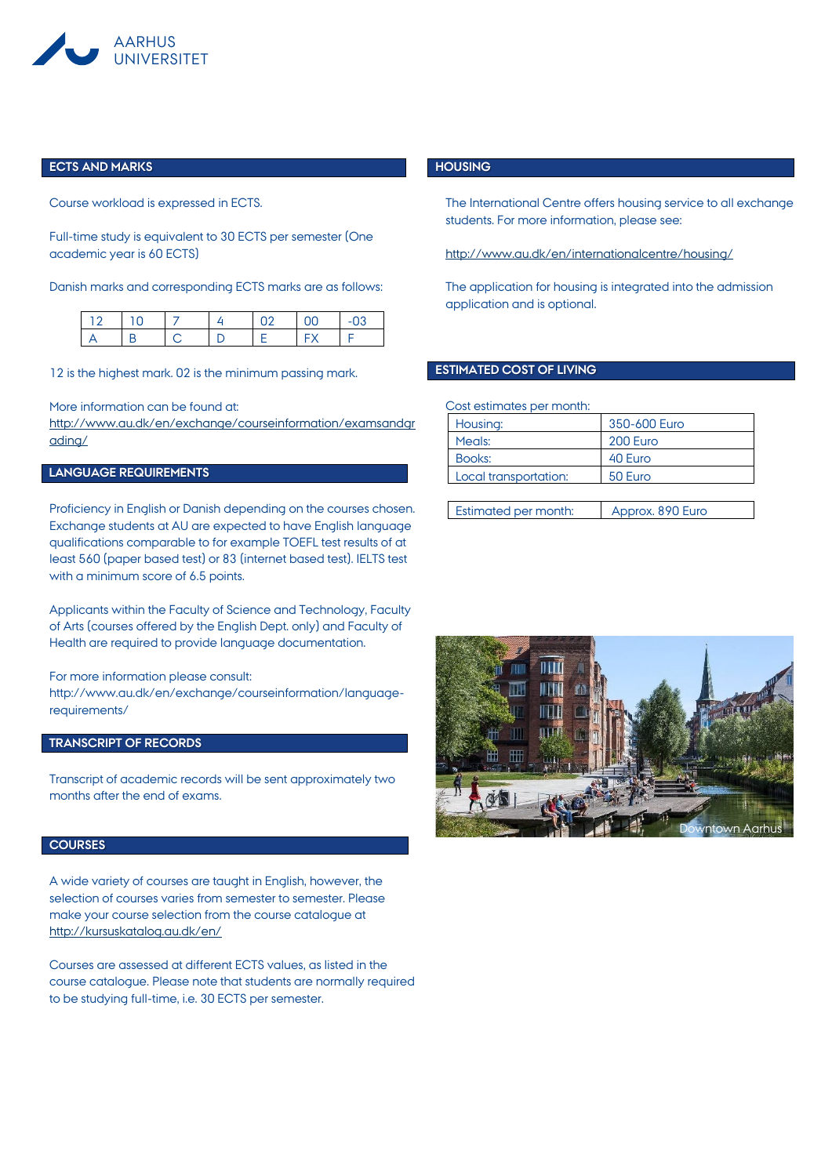

#### **ECTS AND MARKS**

Course workload is expressed in ECTS.

Full-time study is equivalent to 30 ECTS per semester (One academic year is 60 ECTS)

Danish marks and corresponding ECTS marks are as follows:

12 is the highest mark. 02 is the minimum passing mark.

More information can be found at:

[http://www.au.dk/en/exchange/courseinformation/examsandgr](http://www.au.dk/en/exchange/courseinformation/examsandgrading/) [ading/](http://www.au.dk/en/exchange/courseinformation/examsandgrading/)

# **LANGUAGE REQUIREMENTS**

Proficiency in English or Danish depending on the courses chosen. Exchange students at AU are expected to have English language qualifications comparable to for example TOEFL test results of at least 560 (paper based test) or 83 (internet based test). IELTS test with a minimum score of 6.5 points.

Applicants within the Faculty of Science and Technology, Faculty of Arts (courses offered by the English Dept. only) and Faculty of Health are required to provide language documentation.

For more information please consult:

http://www.au.dk/en/exchange/courseinformation/languagerequirements/

## **TRANSCRIPT OF RECORDS**

Transcript of academic records will be sent approximately two months after the end of exams.

#### **COURSES**

A wide variety of courses are taught in English, however, the selection of courses varies from semester to semester. Please make your course selection from the course catalogue at <http://kursuskatalog.au.dk/en/>

Courses are assessed at different ECTS values, as listed in the course catalogue. Please note that students are normally required to be studying full-time, i.e. 30 ECTS per semester.

#### **HOUSING**

The International Centre offers housing service to all exchange students. For more information, please see:

<http://www.au.dk/en/internationalcentre/housing/>

The application for housing is integrated into the admission application and is optional.

#### **ESTIMATED COST OF LIVING**

Cost estimates per month:

| Housing:              | 350-600 Euro |
|-----------------------|--------------|
| Meals:                | 200 Euro     |
| Books:                | 40 Euro      |
| Local transportation: | 50 Euro      |
|                       |              |

| <b>Estimated per month:</b><br>Approx. 890 Euro |
|-------------------------------------------------|
|-------------------------------------------------|